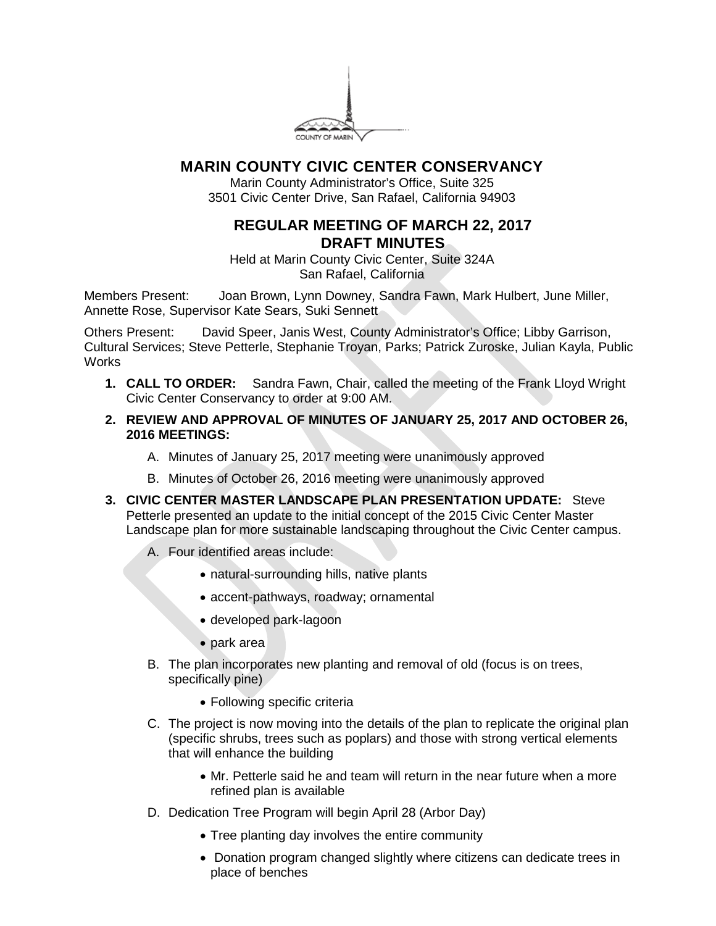

## **MARIN COUNTY CIVIC CENTER CONSERVANCY**

Marin County Administrator's Office, Suite 325 3501 Civic Center Drive, San Rafael, California 94903

## **REGULAR MEETING OF MARCH 22, 2017 DRAFT MINUTES**

Held at Marin County Civic Center, Suite 324A San Rafael, California

Members Present: Joan Brown, Lynn Downey, Sandra Fawn, Mark Hulbert, June Miller, Annette Rose, Supervisor Kate Sears, Suki Sennett

Others Present: David Speer, Janis West, County Administrator's Office; Libby Garrison, Cultural Services; Steve Petterle, Stephanie Troyan, Parks; Patrick Zuroske, Julian Kayla, Public **Works** 

- **1. CALL TO ORDER:** Sandra Fawn, Chair, called the meeting of the Frank Lloyd Wright Civic Center Conservancy to order at 9:00 AM.
- **2. REVIEW AND APPROVAL OF MINUTES OF JANUARY 25, 2017 AND OCTOBER 26, 2016 MEETINGS:**
	- A. Minutes of January 25, 2017 meeting were unanimously approved
	- B. Minutes of October 26, 2016 meeting were unanimously approved
- **3. CIVIC CENTER MASTER LANDSCAPE PLAN PRESENTATION UPDATE:** Steve Petterle presented an update to the initial concept of the 2015 Civic Center Master Landscape plan for more sustainable landscaping throughout the Civic Center campus.
	- A. Four identified areas include:
		- natural-surrounding hills, native plants
		- accent-pathways, roadway; ornamental
		- developed park-lagoon
		- park area
	- B. The plan incorporates new planting and removal of old (focus is on trees, specifically pine)
		- Following specific criteria
	- C. The project is now moving into the details of the plan to replicate the original plan (specific shrubs, trees such as poplars) and those with strong vertical elements that will enhance the building
		- Mr. Petterle said he and team will return in the near future when a more refined plan is available
	- D. Dedication Tree Program will begin April 28 (Arbor Day)
		- Tree planting day involves the entire community
		- Donation program changed slightly where citizens can dedicate trees in place of benches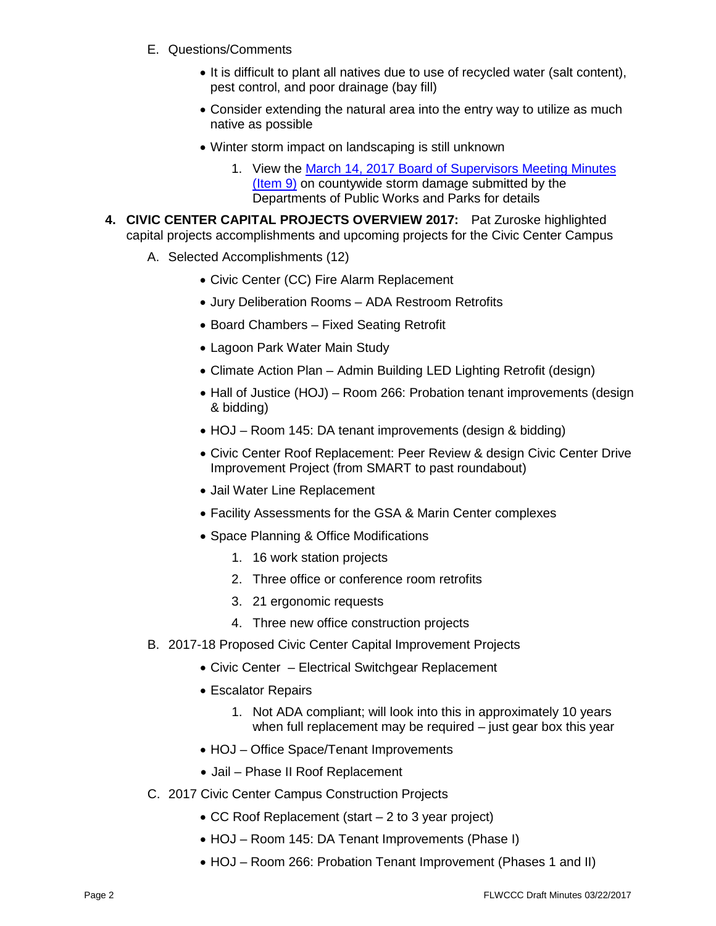- E. Questions/Comments
	- It is difficult to plant all natives due to use of recycled water (salt content), pest control, and poor drainage (bay fill)
	- Consider extending the natural area into the entry way to utilize as much native as possible
	- Winter storm impact on landscaping is still unknown
		- 1. View the [March 14, 2017 Board of Supervisors Meeting Minutes](http://marin.granicus.com/MinutesViewer.php?view_id=33&clip_id=8476&doc_id=8d3e26df-0a8a-11e7-ad57-f04da2064c47)  [\(Item 9\)](http://marin.granicus.com/MinutesViewer.php?view_id=33&clip_id=8476&doc_id=8d3e26df-0a8a-11e7-ad57-f04da2064c47) on countywide storm damage submitted by the Departments of Public Works and Parks for details
- **4. CIVIC CENTER CAPITAL PROJECTS OVERVIEW 2017:** Pat Zuroske highlighted capital projects accomplishments and upcoming projects for the Civic Center Campus
	- A. Selected Accomplishments (12)
		- Civic Center (CC) Fire Alarm Replacement
		- Jury Deliberation Rooms ADA Restroom Retrofits
		- Board Chambers Fixed Seating Retrofit
		- Lagoon Park Water Main Study
		- Climate Action Plan Admin Building LED Lighting Retrofit (design)
		- Hall of Justice (HOJ) Room 266: Probation tenant improvements (design & bidding)
		- HOJ Room 145: DA tenant improvements (design & bidding)
		- Civic Center Roof Replacement: Peer Review & design Civic Center Drive Improvement Project (from SMART to past roundabout)
		- Jail Water Line Replacement
		- Facility Assessments for the GSA & Marin Center complexes
		- Space Planning & Office Modifications
			- 1. 16 work station projects
			- 2. Three office or conference room retrofits
			- 3. 21 ergonomic requests
			- 4. Three new office construction projects
	- B. 2017-18 Proposed Civic Center Capital Improvement Projects
		- Civic Center Electrical Switchgear Replacement
		- Escalator Repairs
			- 1. Not ADA compliant; will look into this in approximately 10 years when full replacement may be required – just gear box this year
		- HOJ Office Space/Tenant Improvements
		- Jail Phase II Roof Replacement
	- C. 2017 Civic Center Campus Construction Projects
		- CC Roof Replacement (start 2 to 3 year project)
		- HOJ Room 145: DA Tenant Improvements (Phase I)
		- HOJ Room 266: Probation Tenant Improvement (Phases 1 and II)